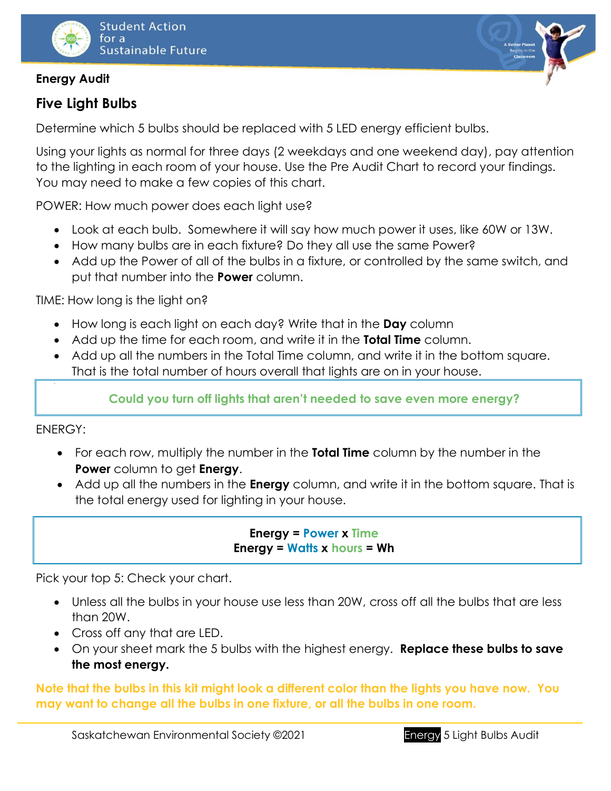

## **Energy Audit**

# **Five Light Bulbs**

Determine which 5 bulbs should be replaced with 5 LED energy efficient bulbs.

Using your lights as normal for three days (2 weekdays and one weekend day), pay attention to the lighting in each room of your house. Use the Pre Audit Chart to record your findings. You may need to make a few copies of this chart.

POWER: How much power does each light use?

- Look at each bulb. Somewhere it will say how much power it uses, like 60W or 13W.
- How many bulbs are in each fixture? Do they all use the same Power?
- Add up the Power of all of the bulbs in a fixture, or controlled by the same switch, and put that number into the **Power** column.

TIME: How long is the light on?

- How long is each light on each day? Write that in the **Day** column
- Add up the time for each room, and write it in the **Total Time** column.
- Add up all the numbers in the Total Time column, and write it in the bottom square. That is the total number of hours overall that lights are on in your house.

## **Could you turn off lights that aren't needed to save even more energy?**

ENERGY:

- For each row, multiply the number in the **Total Time** column by the number in the **Power** column to get **Energy**.
- Add up all the numbers in the **Energy** column, and write it in the bottom square. That is the total energy used for lighting in your house.

### **Energy = Power x Time Energy = Watts x hours = Wh**

Pick your top 5: Check your chart.

- Unless all the bulbs in your house use less than 20W, cross off all the bulbs that are less than 20W.
- Cross off any that are LED.
- On your sheet mark the 5 bulbs with the highest energy. **Replace these bulbs to save the most energy.**

**Note that the bulbs in this kit might look a different color than the lights you have now. You may want to change all the bulbs in one fixture, or all the bulbs in one room.**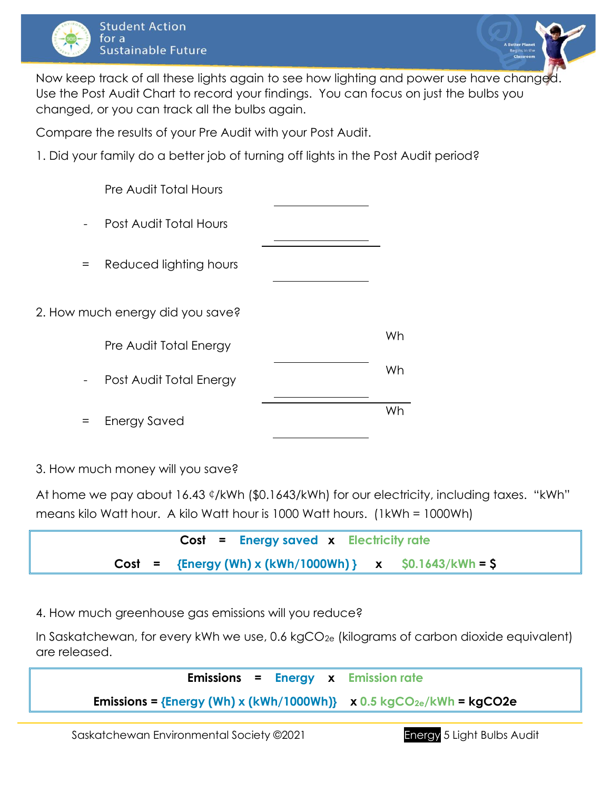



Now keep track of all these lights again to see how lighting and power use have changed Use the Post Audit Chart to record your findings. You can focus on just the bulbs you changed, or you can track all the bulbs again.

Compare the results of your Pre Audit with your Post Audit.

1. Did your family do a better job of turning off lights in the Post Audit period?

|        | <b>Pre Audit Total Hours</b>     |    |
|--------|----------------------------------|----|
|        | Post Audit Total Hours           |    |
| $=$    | Reduced lighting hours           |    |
|        | 2. How much energy did you save? |    |
|        | Pre Audit Total Energy           | Wh |
| $\sim$ | Post Audit Total Energy          | Wh |
|        | <b>Energy Saved</b>              | Wh |

3. How much money will you save?

At home we pay about 16.43 ¢/kWh (\$0.1643/kWh) for our electricity, including taxes. "kWh" means kilo Watt hour. A kilo Watt hour is 1000 Watt hours. (1kWh = 1000Wh)



4. How much greenhouse gas emissions will you reduce?

In Saskatchewan, for every kWh we use, 0.6 kgCO<sub>2e</sub> (kilograms of carbon dioxide equivalent) are released.

|  | <b>Emissions = Energy <math>x</math> Emission rate</b>                                        |
|--|-----------------------------------------------------------------------------------------------|
|  | <b>Emissions = {Energy (Wh) x (kWh/1000Wh)}</b> $\times$ 0.5 kgCO <sub>2e</sub> /kWh = kgCO2e |
|  |                                                                                               |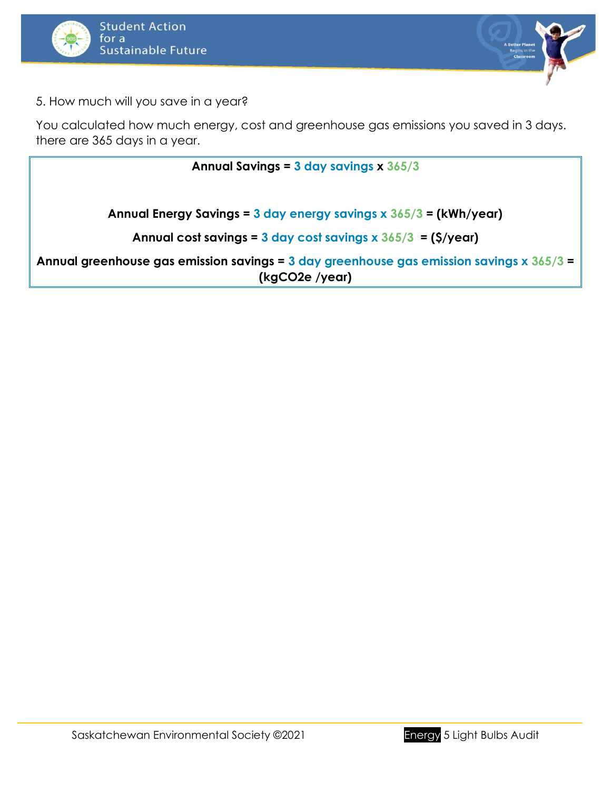



5. How much will you save in a year?

You calculated how much energy, cost and greenhouse gas emissions you saved in 3 days. there are 365 days in a year.

**Annual Savings = 3 day savings x 365/3 Annual Energy Savings = 3 day energy savings x 365/3 = (kWh/year) Annual cost savings = 3 day cost savings x 365/3 = (\$/year) Annual greenhouse gas emission savings = 3 day greenhouse gas emission savings x 365/3 = (kgCO2e /year)**

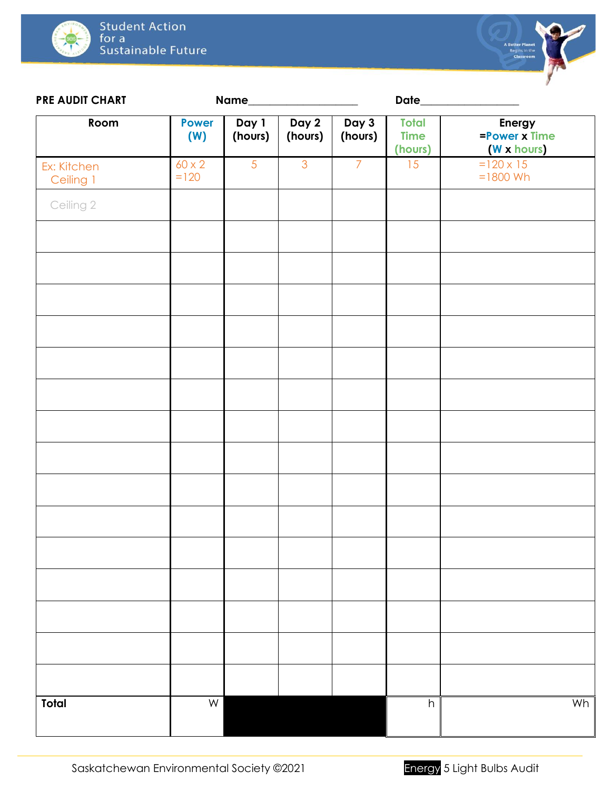



| <b>PRE AUDIT CHART</b>   | Name_                   |                  |                  |                  | Date_                                  |                                        |
|--------------------------|-------------------------|------------------|------------------|------------------|----------------------------------------|----------------------------------------|
| Room                     | <b>Power</b><br>(W)     | Day 1<br>(hours) | Day 2<br>(hours) | Day 3<br>(hours) | <b>Total</b><br><b>Time</b><br>(hours) | Energy<br>=Power x Time<br>(W x hours) |
| Ex: Kitchen<br>Ceiling 1 | $60 \times 2$<br>$=120$ | 5                | $\overline{3}$   | $\overline{7}$   | 15                                     | $=120 \times 15$<br>$=1800$ Wh         |
| Ceiling 2                |                         |                  |                  |                  |                                        |                                        |
|                          |                         |                  |                  |                  |                                        |                                        |
|                          |                         |                  |                  |                  |                                        |                                        |
|                          |                         |                  |                  |                  |                                        |                                        |
|                          |                         |                  |                  |                  |                                        |                                        |
|                          |                         |                  |                  |                  |                                        |                                        |
|                          |                         |                  |                  |                  |                                        |                                        |
|                          |                         |                  |                  |                  |                                        |                                        |
|                          |                         |                  |                  |                  |                                        |                                        |
|                          |                         |                  |                  |                  |                                        |                                        |
|                          |                         |                  |                  |                  |                                        |                                        |
|                          |                         |                  |                  |                  |                                        |                                        |
|                          |                         |                  |                  |                  |                                        |                                        |
|                          |                         |                  |                  |                  |                                        |                                        |
|                          |                         |                  |                  |                  |                                        |                                        |
|                          |                         |                  |                  |                  |                                        |                                        |
| <b>Total</b>             | $\overline{\mathsf{W}}$ |                  |                  |                  | h                                      | Wh                                     |

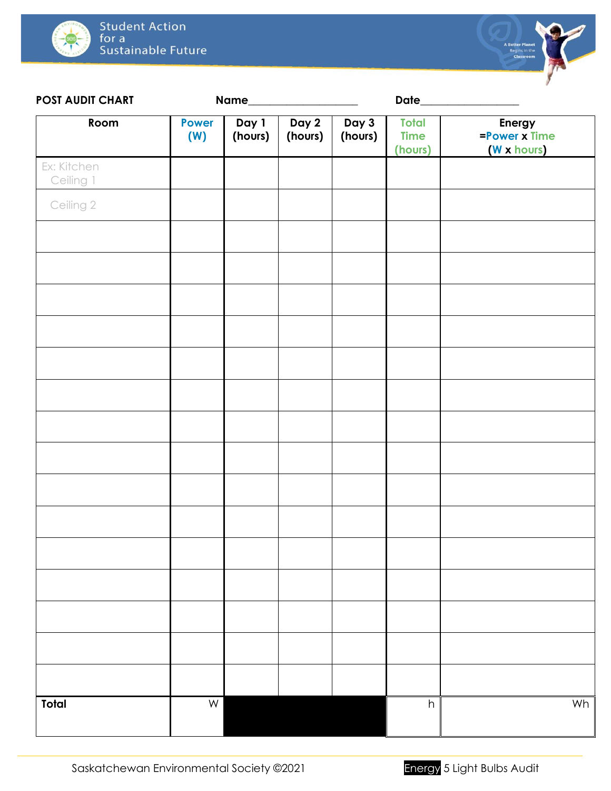



| <b>POST AUDIT CHART</b>  |                     | Name_            |                  |                  | Date_                                  |                                        |
|--------------------------|---------------------|------------------|------------------|------------------|----------------------------------------|----------------------------------------|
| Room                     | <b>Power</b><br>(W) | Day 1<br>(hours) | Day 2<br>(hours) | Day 3<br>(hours) | <b>Total</b><br><b>Time</b><br>(hours) | Energy<br>=Power x Time<br>(W x hours) |
| Ex: Kitchen<br>Ceiling 1 |                     |                  |                  |                  |                                        |                                        |
| Ceiling 2                |                     |                  |                  |                  |                                        |                                        |
|                          |                     |                  |                  |                  |                                        |                                        |
|                          |                     |                  |                  |                  |                                        |                                        |
|                          |                     |                  |                  |                  |                                        |                                        |
|                          |                     |                  |                  |                  |                                        |                                        |
|                          |                     |                  |                  |                  |                                        |                                        |
|                          |                     |                  |                  |                  |                                        |                                        |
|                          |                     |                  |                  |                  |                                        |                                        |
|                          |                     |                  |                  |                  |                                        |                                        |
|                          |                     |                  |                  |                  |                                        |                                        |
|                          |                     |                  |                  |                  |                                        |                                        |
|                          |                     |                  |                  |                  |                                        |                                        |
|                          |                     |                  |                  |                  |                                        |                                        |
|                          |                     |                  |                  |                  |                                        |                                        |
|                          |                     |                  |                  |                  |                                        |                                        |
|                          |                     |                  |                  |                  |                                        |                                        |
| Total                    | ${\sf W}$           |                  |                  |                  | $\boldsymbol{\mathsf{h}}$              | Wh                                     |
|                          |                     |                  |                  |                  |                                        |                                        |